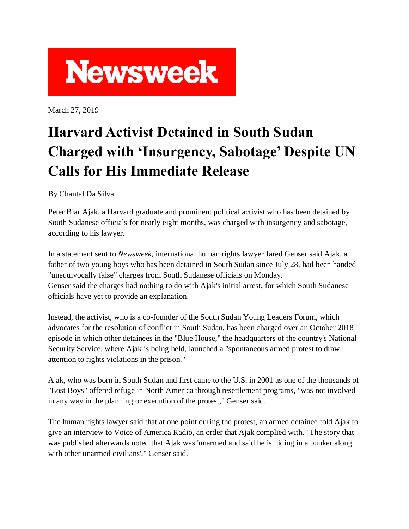

March 27, 2019

## **Harvard Activist Detained in South Sudan Charged with 'Insurgency, Sabotage' Despite UN Calls for His Immediate Release**

By Chantal Da Silva

Peter Biar Ajak, a Harvard graduate and prominent political activist who has been detained by South Sudanese officials for nearly eight months, was charged with insurgency and sabotage, according to his lawyer.

In a statement sent to *Newsweek,* international human rights lawyer Jared Genser said Ajak, a father of two young boys who has been detained in South Sudan since July 28, had been handed "unequivocally false" charges from South Sudanese officials on Monday. Genser said the charges had nothing to do with Ajak's initial arrest, for which South Sudanese officials have yet to provide an explanation.

Instead, the activist, who is a co-founder of the South Sudan Young Leaders Forum, which advocates for the resolution of conflict in South Sudan, has been charged over an October 2018 episode in which other detainees in the "Blue House," the headquarters of the country's National Security Service, where Ajak is being held, launched a "spontaneous armed protest to draw attention to rights violations in the prison."

Ajak, who was born in South Sudan and first came to the U.S. in 2001 as one of the thousands of "Lost Boys" offered refuge in North America through resettlement programs, "was not involved in any way in the planning or execution of the protest," Genser said.

The human rights lawyer said that at one point during the protest, an armed detainee told Ajak to give an interview to Voice of America Radio, an order that Ajak complied with. "The story that was published afterwards noted that Ajak was 'unarmed and said he is hiding in a bunker along with other unarmed civilians'," Genser said.